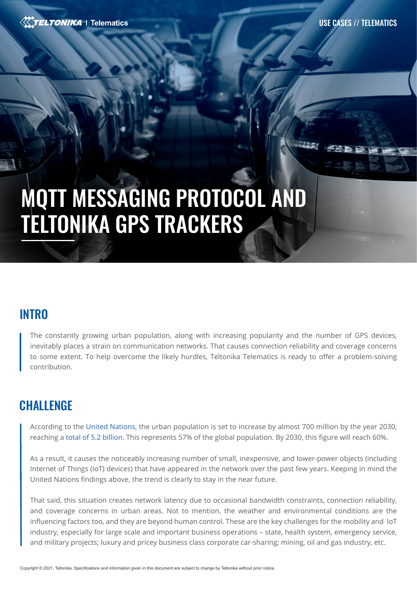# MQTT MESSAGING PROTOCOL AND TELTONIKA GPS TRACKERS

# **INTRO**

The constantly growing urban population, along with increasing popularity and the number of GPS devices, inevitably places a strain on communication networks. That causes connection reliability and coverage concerns to some extent. To help overcome the likely hurdles, Teltonika Telematics is ready to offer a problem-solving contribution.

# **CHALLENGE**

According to the [United Nations](https://population.un.org/wup/DataQuery/), the urban population is set to increase by almost 700 million by the year 2030, reaching a [total of 5.2 billion](https://www.destatis.de/EN/Themes/Countries-Regions/International-Statistics/Data-Topic/Population-Labour-Social-Issues/DemographyMigration/UrbanPopulation.htm). This represents 57% of the global population. By 2030, this figure will reach 60%.

As a result, it causes the noticeably increasing number of small, inexpensive, and lower-power objects (including Internet of Things (IoT) devices) that have appeared in the network over the past few years. Keeping in mind the United Nations findings above, the trend is clearly to stay in the near future.

That said, this situation creates network latency due to occasional bandwidth constraints, connection reliability, and coverage concerns in urban areas. Not to mention, the weather and environmental conditions are the influencing factors too, and they are beyond human control. These are the key challenges for the mobility and IoT industry, especially for large scale and important business operations – state, health system, emergency service, and military projects; luxury and pricey business class corporate car-sharing; mining, oil and gas industry, etc.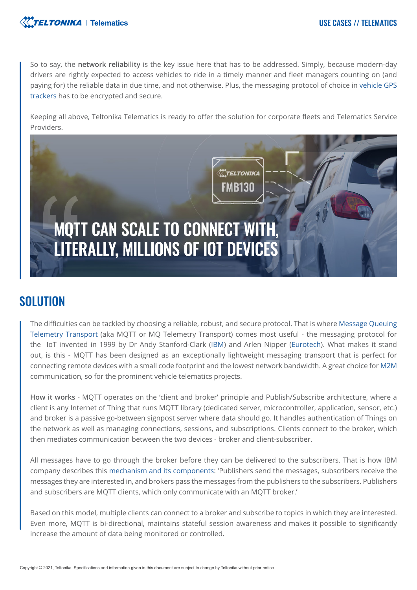

So to say, the **network reliability** is the key issue here that has to be addressed. Simply, because modern-day drivers are rightly expected to access vehicles to ride in a timely manner and fleet managers counting on (and paying for) the reliable data in due time, and not otherwise. Plus, the messaging protocol of choice in [vehicle GPS](https://teltonika-gps.com/products/vehicle-tracking/)  [trackers](https://teltonika-gps.com/products/vehicle-tracking/) has to be encrypted and secure.

Keeping all above, Teltonika Telematics is ready to offer the solution for corporate fleets and Telematics Service Providers.



# **SOLUTION**

The difficulties can be tackled by choosing a reliable, robust, and secure protocol. That is where [Message Queuing](https://mqtt.org/)  [Telemetry Transport](https://mqtt.org/) (aka MQTT or MQ Telemetry Transport) comes most useful - the messaging protocol for the IoT invented in 1999 by Dr Andy Stanford-Clark ([IBM](https://www.ibm.com/lt-en)) and Arlen Nipper ([Eurotech](https://www.eurotech.com/en)). What makes it stand out, is this - MQTT has been designed as an exceptionally lightweight messaging transport that is perfect for connecting remote devices with a small code footprint and the lowest network bandwidth. A great choice for [M2M](https://en.wikipedia.org/wiki/Machine_to_machine) communication, so for the prominent vehicle telematics projects.

**How it works** - MQTT operates on the 'client and broker' principle and Publish/Subscribe architecture, where a client is any Internet of Thing that runs MQTT library (dedicated server, microcontroller, application, sensor, etc.) and broker is a passive go-between signpost server where data should go. It handles authentication of Things on the network as well as managing connections, sessions, and subscriptions. Clients connect to the broker, which then mediates communication between the two devices - broker and client-subscriber.

All messages have to go through the broker before they can be delivered to the subscribers. That is how IBM company describes this [mechanism and its components](https://www.ibm.com/docs/en/ibm-mq/9.2?topic=messaging-publishsubscribe-components): 'Publishers send the messages, subscribers receive the messages they are interested in, and brokers pass the messages from the publishers to the subscribers. Publishers and subscribers are MQTT clients, which only communicate with an MQTT broker.'

Based on this model, multiple clients can connect to a broker and subscribe to topics in which they are interested. Even more, MQTT is bi-directional, maintains stateful session awareness and makes it possible to significantly increase the amount of data being monitored or controlled.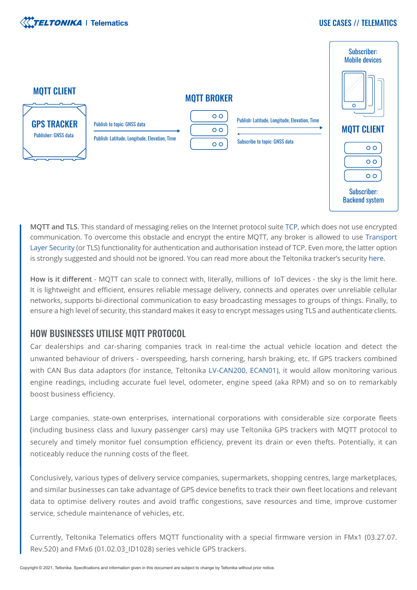

#### USE CASES // TELEMATICS



**MQTT and TLS**. This standard of messaging relies on the Internet protocol suite [TCP](https://en.wikipedia.org/wiki/Transmission_Control_Protocol), which does not use encrypted communication. To overcome this obstacle and encrypt the entire MQTT, any broker is allowed to us[e Transport](https://en.wikipedia.org/wiki/Transport_Layer_Security)  [Layer Security](https://en.wikipedia.org/wiki/Transport_Layer_Security) (or TLS) functionality for authentication and authorisation instead of TCP. Even more, the latter option is strongly suggested and should not be ignored. You can read more about the Teltonika tracker's security [here.](https://teltonika-gps.com/industries/use-cases/trackers-security/)

**How is it different** - MQTT can scale to connect with, literally, millions of IoT devices - the sky is the limit here. It is lightweight and efficient, ensures reliable message delivery, connects and operates over unreliable cellular networks, supports bi-directional communication to easy broadcasting messages to groups of things. Finally, to ensure a high level of security, this standard makes it easy to encrypt messages using TLS and authenticate clients.

#### HOW BUSINESSES UTILISE MQTT PROTOCOL

Car dealerships and car-sharing companies track in real-time the actual vehicle location and detect the unwanted behaviour of drivers - overspeeding, harsh cornering, harsh braking, etc. If GPS trackers combined with CAN Bus data adaptors (for instance, Teltonika [LV-CAN200](https://teltonika-gps.com/product/lv-can200/), [ECAN01\)](https://teltonika-gps.com/product/ecan01/), it would allow monitoring various engine readings, including accurate fuel level, odometer, engine speed (aka RPM) and so on to remarkably boost business efficiency.

Large companies, state-own enterprises, international corporations with considerable size corporate fleets (including business class and luxury passenger cars) may use Teltonika GPS trackers with MQTT protocol to securely and timely monitor fuel consumption efficiency, prevent its drain or even thefts. Potentially, it can noticeably reduce the running costs of the fleet.

Conclusively, various types of delivery service companies, supermarkets, shopping centres, large marketplaces, and similar businesses can take advantage of GPS device benefits to track their own fleet locations and relevant data to optimise delivery routes and avoid traffic congestions, save resources and time, improve customer service, schedule maintenance of vehicles, etc.

Currently, Teltonika Telematics offers MQTT functionality with a special firmware version in FMx1 (03.27.07. Rev.520) and FMx6 (01.02.03\_ID1028) series vehicle GPS trackers.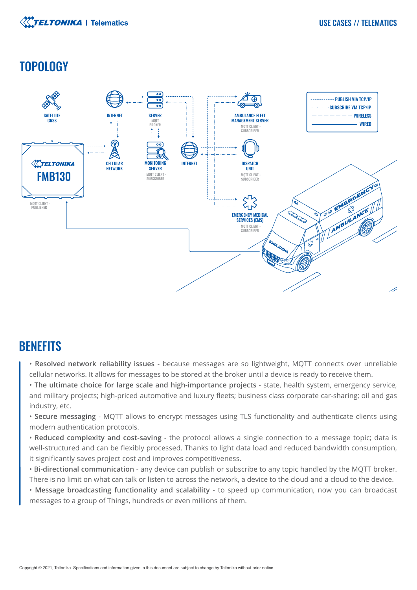

# **TOPOLOGY**



# **BENEFITS**

- **Resolved network reliability issues**  because messages are so lightweight, MQTT connects over unreliable cellular networks. It allows for messages to be stored at the broker until a device is ready to receive them.
- **The ultimate choice for large scale and high-importance projects** state, health system, emergency service, and military projects; high-priced automotive and luxury fleets; business class corporate car-sharing; oil and gas industry, etc.
- **Secure messaging**  MQTT allows to encrypt messages using TLS functionality and authenticate clients using modern authentication protocols.
- **Reduced complexity and cost-saving**  the protocol allows a single connection to a message topic; data is well-structured and can be flexibly processed. Thanks to light data load and reduced bandwidth consumption, it significantly saves project cost and improves competitiveness.
- **Bi-directional communication** any device can publish or subscribe to any topic handled by the MQTT broker. There is no limit on what can talk or listen to across the network, a device to the cloud and a cloud to the device.
- **Message broadcasting functionality and scalability** to speed up communication, now you can broadcast messages to a group of Things, hundreds or even millions of them.